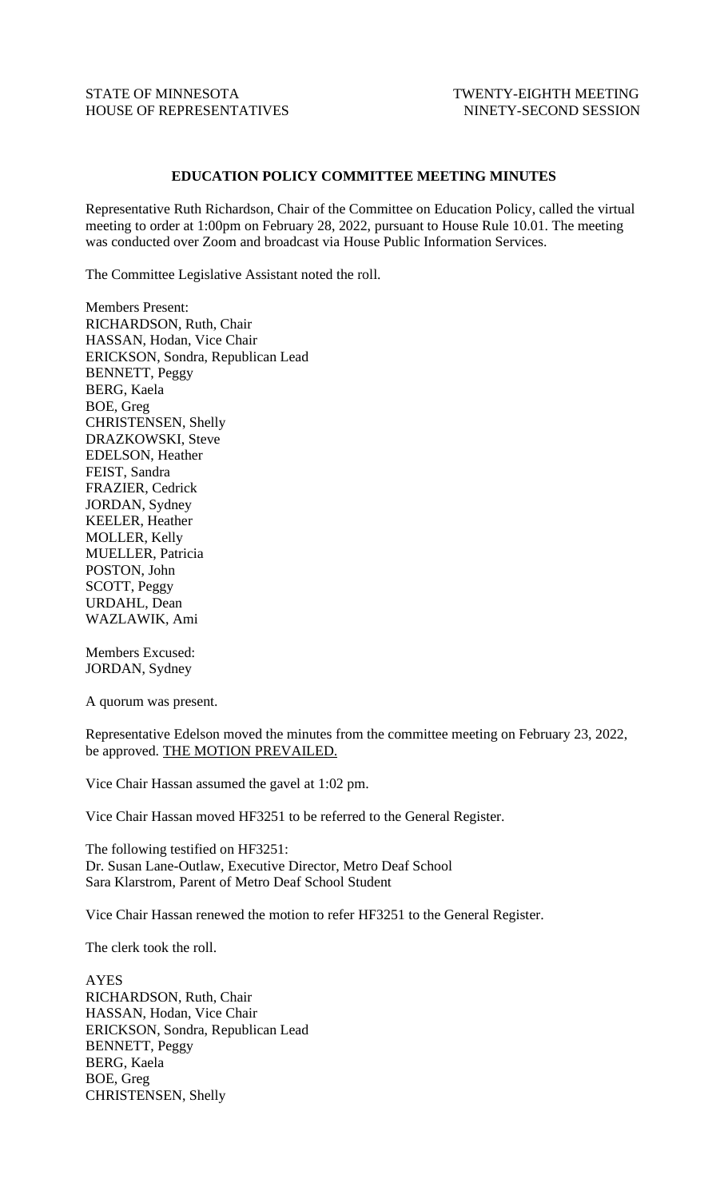## STATE OF MINNESOTA TWENTY-EIGHTH MEETING HOUSE OF REPRESENTATIVES NINETY-SECOND SESSION

## **EDUCATION POLICY COMMITTEE MEETING MINUTES**

Representative Ruth Richardson, Chair of the Committee on Education Policy, called the virtual meeting to order at 1:00pm on February 28, 2022, pursuant to House Rule 10.01. The meeting was conducted over Zoom and broadcast via House Public Information Services.

The Committee Legislative Assistant noted the roll.

Members Present: RICHARDSON, Ruth, Chair HASSAN, Hodan, Vice Chair ERICKSON, Sondra, Republican Lead BENNETT, Peggy BERG, Kaela BOE, Greg CHRISTENSEN, Shelly DRAZKOWSKI, Steve EDELSON, Heather FEIST, Sandra FRAZIER, Cedrick JORDAN, Sydney KEELER, Heather MOLLER, Kelly MUELLER, Patricia POSTON, John SCOTT, Peggy URDAHL, Dean WAZLAWIK, Ami

Members Excused: JORDAN, Sydney

A quorum was present.

Representative Edelson moved the minutes from the committee meeting on February 23, 2022, be approved. THE MOTION PREVAILED.

Vice Chair Hassan assumed the gavel at 1:02 pm.

Vice Chair Hassan moved HF3251 to be referred to the General Register.

The following testified on HF3251: Dr. Susan Lane-Outlaw, Executive Director, Metro Deaf School Sara Klarstrom, Parent of Metro Deaf School Student

Vice Chair Hassan renewed the motion to refer HF3251 to the General Register.

The clerk took the roll.

AYES RICHARDSON, Ruth, Chair HASSAN, Hodan, Vice Chair ERICKSON, Sondra, Republican Lead BENNETT, Peggy BERG, Kaela BOE, Greg CHRISTENSEN, Shelly